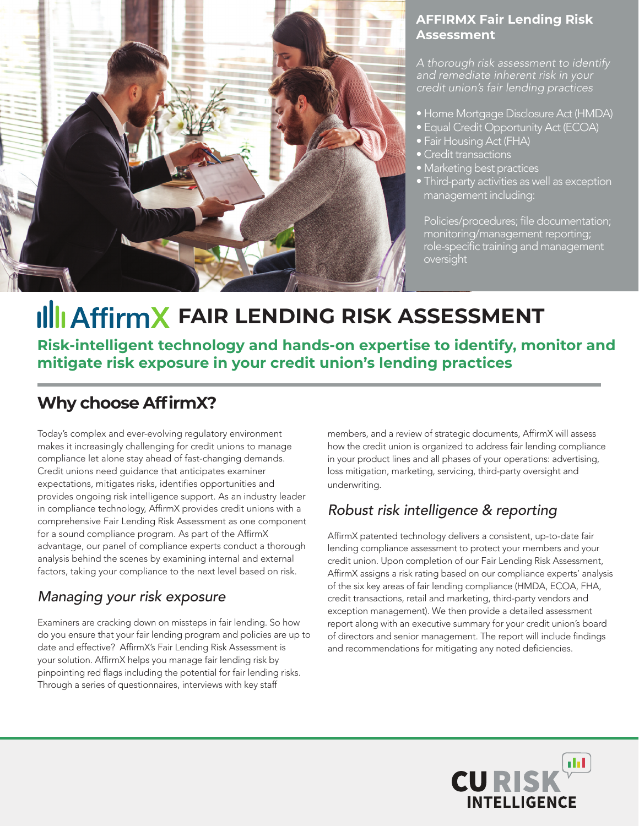

#### **AFFIRMX Fair Lending Risk Assessment**

*A thorough risk assessment to identify and remediate inherent risk in your credit union's fair lending practices* 

- Home Mortgage Disclosure Act (HMDA)
- Equal Credit Opportunity Act (ECOA)
- Fair Housing Act (FHA)
- Credit transactions
- Marketing best practices
- Third-party activities as well as exception management including:

 Policies/procedures; file documentation; monitoring/management reporting; role-specific training and management oversight

## **IllI AffirmX FAIR LENDING RISK ASSESSMENT**

**Risk-intelligent technology and hands-on expertise to identify, monitor and mitigate risk exposure in your credit union's lending practices** 

#### **Why choose AffirmX?**

Today's complex and ever-evolving regulatory environment makes it increasingly challenging for credit unions to manage compliance let alone stay ahead of fast-changing demands. Credit unions need guidance that anticipates examiner expectations, mitigates risks, identifies opportunities and provides ongoing risk intelligence support. As an industry leader in compliance technology, AffirmX provides credit unions with a comprehensive Fair Lending Risk Assessment as one component for a sound compliance program. As part of the AffirmX advantage, our panel of compliance experts conduct a thorough analysis behind the scenes by examining internal and external factors, taking your compliance to the next level based on risk.

#### *Managing your risk exposure*

Examiners are cracking down on missteps in fair lending. So how do you ensure that your fair lending program and policies are up to date and effective? AffirmX's Fair Lending Risk Assessment is your solution. AffirmX helps you manage fair lending risk by pinpointing red flags including the potential for fair lending risks. Through a series of questionnaires, interviews with key staff

members, and a review of strategic documents, AffirmX will assess how the credit union is organized to address fair lending compliance in your product lines and all phases of your operations: advertising, loss mitigation, marketing, servicing, third-party oversight and underwriting.

#### *Robust risk intelligence & reporting*

AffirmX patented technology delivers a consistent, up-to-date fair lending compliance assessment to protect your members and your credit union. Upon completion of our Fair Lending Risk Assessment, AffirmX assigns a risk rating based on our compliance experts' analysis of the six key areas of fair lending compliance (HMDA, ECOA, FHA, credit transactions, retail and marketing, third-party vendors and exception management). We then provide a detailed assessment report along with an executive summary for your credit union's board of directors and senior management. The report will include findings and recommendations for mitigating any noted deficiencies.